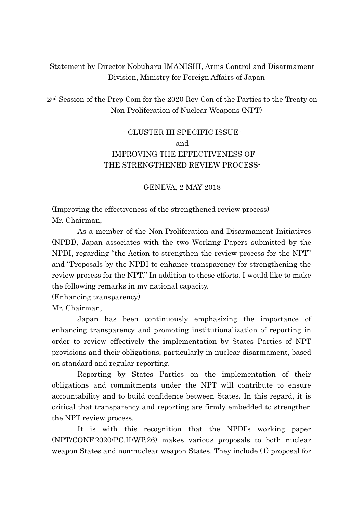## Statement by Director Nobuharu IMANISHI, Arms Control and Disarmament Division, Ministry for Foreign Affairs of Japan

2nd Session of the Prep Com for the 2020 Rev Con of the Parties to the Treaty on Non-Proliferation of Nuclear Weapons (NPT)

## - CLUSTER III SPECIFIC ISSUEand -IMPROVING THE EFFECTIVENESS OF THE STRENGTHENED REVIEW PROCESS-

## GENEVA, 2 MAY 2018

(Improving the effectiveness of the strengthened review process) Mr. Chairman,

As a member of the Non-Proliferation and Disarmament Initiatives (NPDI), Japan associates with the two Working Papers submitted by the NPDI, regarding "the Action to strengthen the review process for the NPT" and "Proposals by the NPDI to enhance transparency for strengthening the review process for the NPT." In addition to these efforts, I would like to make the following remarks in my national capacity.

(Enhancing transparency)

Mr. Chairman,

Japan has been continuously emphasizing the importance of enhancing transparency and promoting institutionalization of reporting in order to review effectively the implementation by States Parties of NPT provisions and their obligations, particularly in nuclear disarmament, based on standard and regular reporting.

Reporting by States Parties on the implementation of their obligations and commitments under the NPT will contribute to ensure accountability and to build confidence between States. In this regard, it is critical that transparency and reporting are firmly embedded to strengthen the NPT review process.

It is with this recognition that the NPDI's working paper (NPT/CONF.2020/PC.II/WP.26) makes various proposals to both nuclear weapon States and non-nuclear weapon States. They include (1) proposal for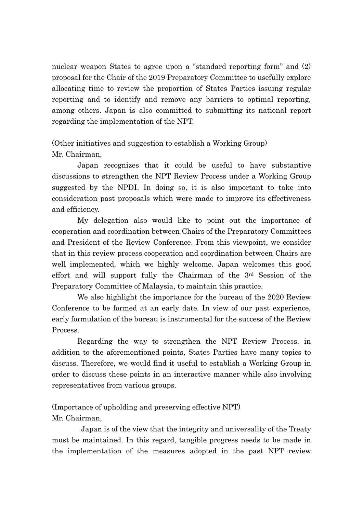nuclear weapon States to agree upon a "standard reporting form" and (2) proposal for the Chair of the 2019 Preparatory Committee to usefully explore allocating time to review the proportion of States Parties issuing regular reporting and to identify and remove any barriers to optimal reporting, among others. Japan is also committed to submitting its national report regarding the implementation of the NPT.

(Other initiatives and suggestion to establish a Working Group) Mr. Chairman,

Japan recognizes that it could be useful to have substantive discussions to strengthen the NPT Review Process under a Working Group suggested by the NPDI. In doing so, it is also important to take into consideration past proposals which were made to improve its effectiveness and efficiency.

My delegation also would like to point out the importance of cooperation and coordination between Chairs of the Preparatory Committees and President of the Review Conference. From this viewpoint, we consider that in this review process cooperation and coordination between Chairs are well implemented, which we highly welcome. Japan welcomes this good effort and will support fully the Chairman of the 3rd Session of the Preparatory Committee of Malaysia, to maintain this practice.

We also highlight the importance for the bureau of the 2020 Review Conference to be formed at an early date. In view of our past experience, early formulation of the bureau is instrumental for the success of the Review Process.

Regarding the way to strengthen the NPT Review Process, in addition to the aforementioned points, States Parties have many topics to discuss. Therefore, we would find it useful to establish a Working Group in order to discuss these points in an interactive manner while also involving representatives from various groups.

(Importance of upholding and preserving effective NPT) Mr. Chairman,

Japan is of the view that the integrity and universality of the Treaty must be maintained. In this regard, tangible progress needs to be made in the implementation of the measures adopted in the past NPT review